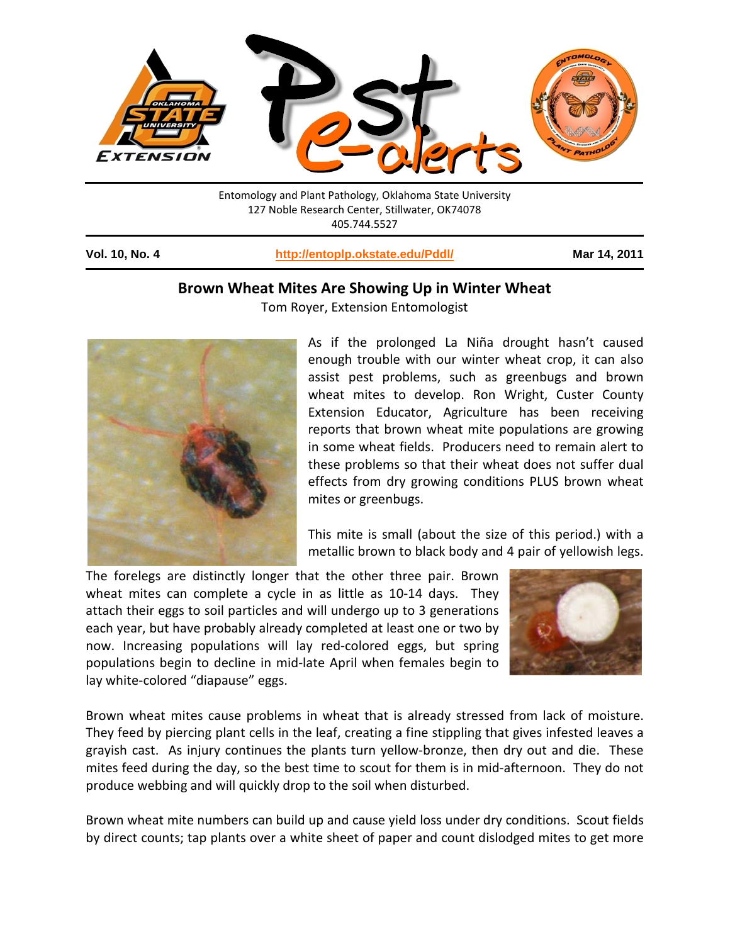

Entomology and Plant Pathology, Oklahoma State University 127 Noble Research Center, Stillwater, OK74078 405.744.5527

**Vol. 10, No. 4 <http://entoplp.okstate.edu/Pddl/> Mar 14, 2011**

## **Brown Wheat Mites Are Showing Up in Winter Wheat**



Tom Royer, Extension Entomologist

As if the prolonged La Niña drought hasn't caused enough trouble with our winter wheat crop, it can also assist pest problems, such as greenbugs and brown wheat mites to develop. Ron Wright, Custer County Extension Educator, Agriculture has been receiving reports that brown wheat mite populations are growing in some wheat fields. Producers need to remain alert to these problems so that their wheat does not suffer dual effects from dry growing conditions PLUS brown wheat mites or greenbugs.

This mite is small (about the size of this period.) with a metallic brown to black body and 4 pair of yellowish legs.

The forelegs are distinctly longer that the other three pair. Brown wheat mites can complete a cycle in as little as 10-14 days. They attach their eggs to soil particles and will undergo up to 3 generations each year, but have probably already completed at least one or two by now. Increasing populations will lay red-colored eggs, but spring populations begin to decline in mid-late April when females begin to lay white-colored "diapause" eggs.



Brown wheat mites cause problems in wheat that is already stressed from lack of moisture. They feed by piercing plant cells in the leaf, creating a fine stippling that gives infested leaves a grayish cast. As injury continues the plants turn yellow-bronze, then dry out and die. These mites feed during the day, so the best time to scout for them is in mid-afternoon. They do not produce webbing and will quickly drop to the soil when disturbed.

Brown wheat mite numbers can build up and cause yield loss under dry conditions. Scout fields by direct counts; tap plants over a white sheet of paper and count dislodged mites to get more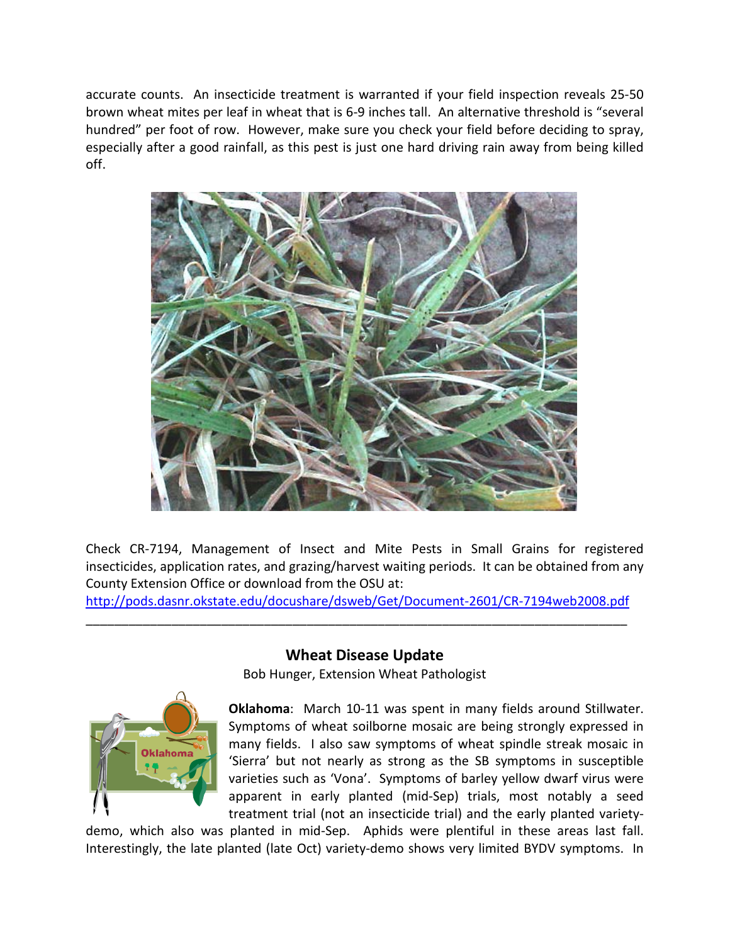accurate counts. An insecticide treatment is warranted if your field inspection reveals 25-50 brown wheat mites per leaf in wheat that is 6-9 inches tall. An alternative threshold is "several hundred" per foot of row. However, make sure you check your field before deciding to spray, especially after a good rainfall, as this pest is just one hard driving rain away from being killed off.



Check CR-7194, Management of Insect and Mite Pests in Small Grains for registered insecticides, application rates, and grazing/harvest waiting periods. It can be obtained from any County Extension Office or download from the OSU at:

<http://pods.dasnr.okstate.edu/docushare/dsweb/Get/Document-2601/CR-7194web2008.pdf> \_\_\_\_\_\_\_\_\_\_\_\_\_\_\_\_\_\_\_\_\_\_\_\_\_\_\_\_\_\_\_\_\_\_\_\_\_\_\_\_\_\_\_\_\_\_\_\_\_\_\_\_\_\_\_\_\_\_\_\_\_\_\_\_\_\_\_\_\_\_\_\_\_\_\_\_



## **Wheat Disease Update**

Bob Hunger, Extension Wheat Pathologist

**Oklahoma**: March 10-11 was spent in many fields around Stillwater. Symptoms of wheat soilborne mosaic are being strongly expressed in many fields. I also saw symptoms of wheat spindle streak mosaic in 'Sierra' but not nearly as strong as the SB symptoms in susceptible varieties such as 'Vona'. Symptoms of barley yellow dwarf virus were apparent in early planted (mid-Sep) trials, most notably a seed treatment trial (not an insecticide trial) and the early planted variety-

demo, which also was planted in mid-Sep. Aphids were plentiful in these areas last fall. Interestingly, the late planted (late Oct) variety-demo shows very limited BYDV symptoms. In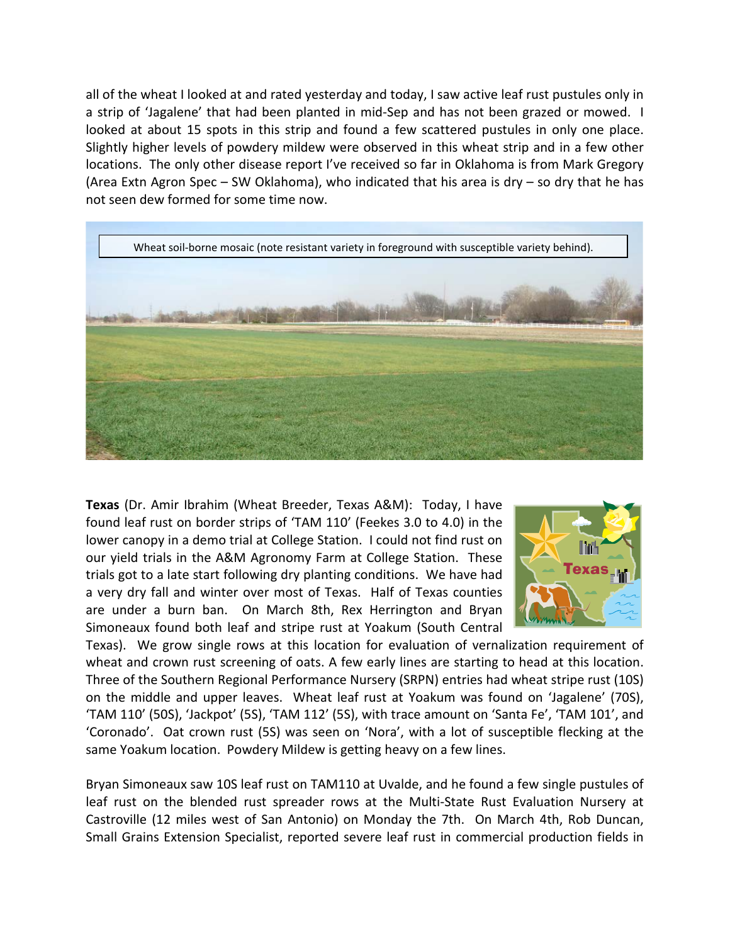all of the wheat I looked at and rated yesterday and today, I saw active leaf rust pustules only in a strip of 'Jagalene' that had been planted in mid-Sep and has not been grazed or mowed. I looked at about 15 spots in this strip and found a few scattered pustules in only one place. Slightly higher levels of powdery mildew were observed in this wheat strip and in a few other locations. The only other disease report I've received so far in Oklahoma is from Mark Gregory (Area Extn Agron Spec – SW Oklahoma), who indicated that his area is dry – so dry that he has not seen dew formed for some time now.



**Texas** (Dr. Amir Ibrahim (Wheat Breeder, Texas A&M): Today, I have found leaf rust on border strips of 'TAM 110' (Feekes 3.0 to 4.0) in the lower canopy in a demo trial at College Station. I could not find rust on our yield trials in the A&M Agronomy Farm at College Station. These trials got to a late start following dry planting conditions. We have had a very dry fall and winter over most of Texas. Half of Texas counties are under a burn ban. On March 8th, Rex Herrington and Bryan Simoneaux found both leaf and stripe rust at Yoakum (South Central



Texas). We grow single rows at this location for evaluation of vernalization requirement of wheat and crown rust screening of oats. A few early lines are starting to head at this location. Three of the Southern Regional Performance Nursery (SRPN) entries had wheat stripe rust (10S) on the middle and upper leaves. Wheat leaf rust at Yoakum was found on 'Jagalene' (70S), 'TAM 110' (50S), 'Jackpot' (5S), 'TAM 112' (5S), with trace amount on 'Santa Fe', 'TAM 101', and 'Coronado'. Oat crown rust (5S) was seen on 'Nora', with a lot of susceptible flecking at the same Yoakum location. Powdery Mildew is getting heavy on a few lines.

Bryan Simoneaux saw 10S leaf rust on TAM110 at Uvalde, and he found a few single pustules of leaf rust on the blended rust spreader rows at the Multi-State Rust Evaluation Nursery at Castroville (12 miles west of San Antonio) on Monday the 7th. On March 4th, Rob Duncan, Small Grains Extension Specialist, reported severe leaf rust in commercial production fields in